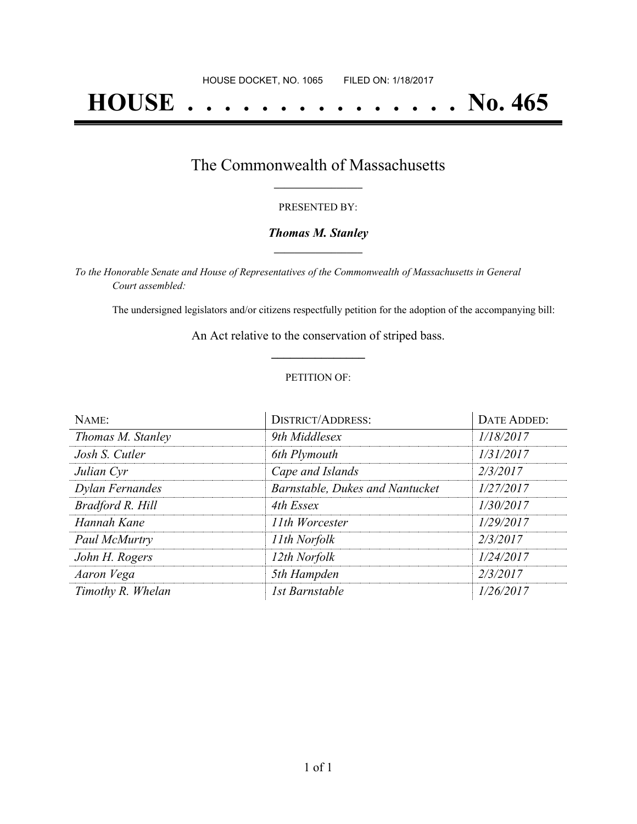# **HOUSE . . . . . . . . . . . . . . . No. 465**

## The Commonwealth of Massachusetts **\_\_\_\_\_\_\_\_\_\_\_\_\_\_\_\_\_**

#### PRESENTED BY:

#### *Thomas M. Stanley* **\_\_\_\_\_\_\_\_\_\_\_\_\_\_\_\_\_**

*To the Honorable Senate and House of Representatives of the Commonwealth of Massachusetts in General Court assembled:*

The undersigned legislators and/or citizens respectfully petition for the adoption of the accompanying bill:

An Act relative to the conservation of striped bass. **\_\_\_\_\_\_\_\_\_\_\_\_\_\_\_**

#### PETITION OF:

| NAME:             | <b>DISTRICT/ADDRESS:</b>        | DATE ADDED: |
|-------------------|---------------------------------|-------------|
| Thomas M. Stanley | 9th Middlesex                   | 1/18/2017   |
| Josh S. Cutler    | 6th Plymouth                    | 1/31/2017   |
| Julian Cyr        | Cape and Islands                | 2/3/2017    |
| Dylan Fernandes   | Barnstable, Dukes and Nantucket | 1/27/2017   |
| Bradford R. Hill  | 4th Essex                       | 1/30/2017   |
| Hannah Kane       | 11th Worcester                  | 1/29/2017   |
| Paul McMurtry     | 11th Norfolk                    | 2/3/2017    |
| John H. Rogers    | 12th Norfolk                    | 1/24/2017   |
| Aaron Vega        | 5th Hampden                     | 2/3/2017    |
| Timothy R. Whelan | 1st Barnstable                  | 1/26/2017   |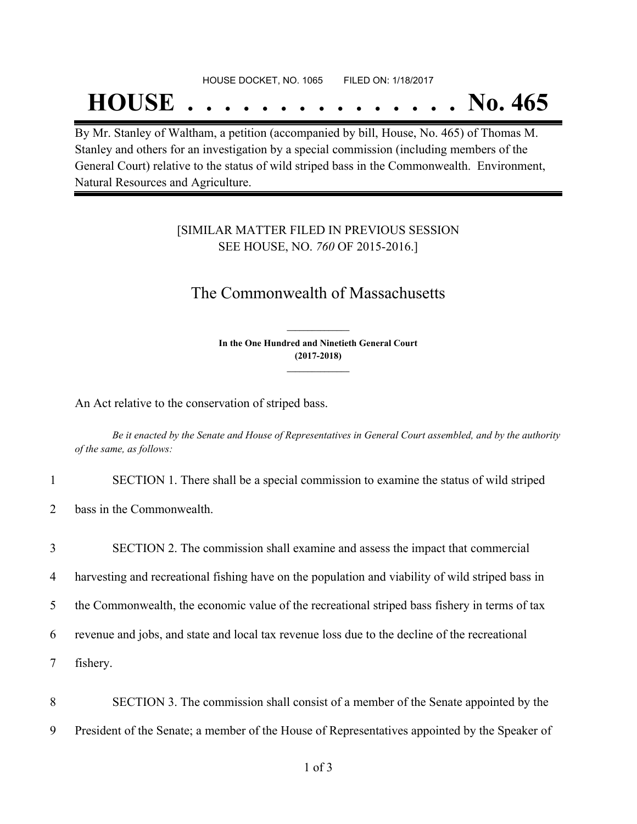#### HOUSE DOCKET, NO. 1065 FILED ON: 1/18/2017

## **HOUSE . . . . . . . . . . . . . . . No. 465**

By Mr. Stanley of Waltham, a petition (accompanied by bill, House, No. 465) of Thomas M. Stanley and others for an investigation by a special commission (including members of the General Court) relative to the status of wild striped bass in the Commonwealth. Environment, Natural Resources and Agriculture.

### [SIMILAR MATTER FILED IN PREVIOUS SESSION SEE HOUSE, NO. *760* OF 2015-2016.]

## The Commonwealth of Massachusetts

**In the One Hundred and Ninetieth General Court (2017-2018) \_\_\_\_\_\_\_\_\_\_\_\_\_\_\_**

**\_\_\_\_\_\_\_\_\_\_\_\_\_\_\_**

An Act relative to the conservation of striped bass.

Be it enacted by the Senate and House of Representatives in General Court assembled, and by the authority *of the same, as follows:*

- 1 SECTION 1. There shall be a special commission to examine the status of wild striped
- 2 bass in the Commonwealth.

 SECTION 2. The commission shall examine and assess the impact that commercial harvesting and recreational fishing have on the population and viability of wild striped bass in the Commonwealth, the economic value of the recreational striped bass fishery in terms of tax revenue and jobs, and state and local tax revenue loss due to the decline of the recreational 7 fishery.

8 SECTION 3. The commission shall consist of a member of the Senate appointed by the 9 President of the Senate; a member of the House of Representatives appointed by the Speaker of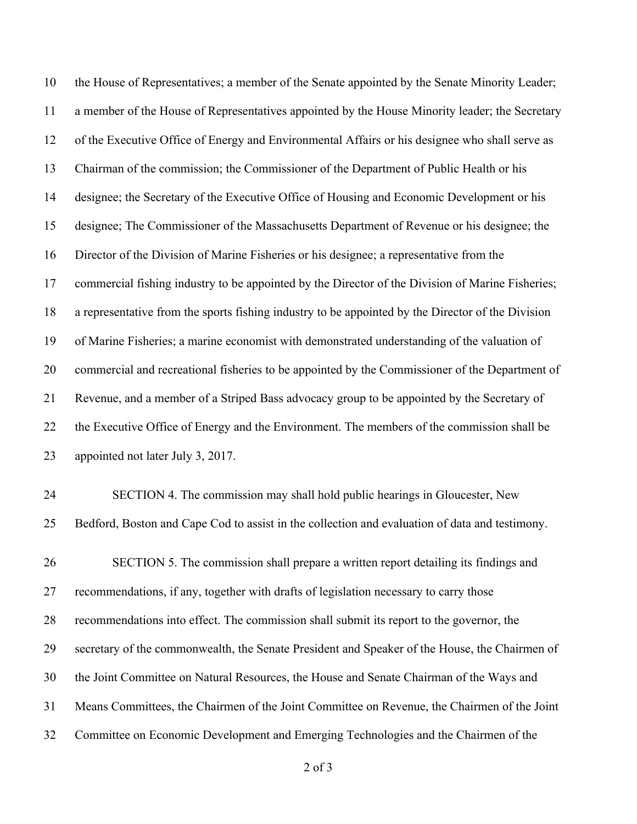the House of Representatives; a member of the Senate appointed by the Senate Minority Leader; a member of the House of Representatives appointed by the House Minority leader; the Secretary of the Executive Office of Energy and Environmental Affairs or his designee who shall serve as Chairman of the commission; the Commissioner of the Department of Public Health or his designee; the Secretary of the Executive Office of Housing and Economic Development or his designee; The Commissioner of the Massachusetts Department of Revenue or his designee; the Director of the Division of Marine Fisheries or his designee; a representative from the commercial fishing industry to be appointed by the Director of the Division of Marine Fisheries; a representative from the sports fishing industry to be appointed by the Director of the Division of Marine Fisheries; a marine economist with demonstrated understanding of the valuation of commercial and recreational fisheries to be appointed by the Commissioner of the Department of Revenue, and a member of a Striped Bass advocacy group to be appointed by the Secretary of the Executive Office of Energy and the Environment. The members of the commission shall be appointed not later July 3, 2017. SECTION 4. The commission may shall hold public hearings in Gloucester, New Bedford, Boston and Cape Cod to assist in the collection and evaluation of data and testimony.

 SECTION 5. The commission shall prepare a written report detailing its findings and recommendations, if any, together with drafts of legislation necessary to carry those recommendations into effect. The commission shall submit its report to the governor, the secretary of the commonwealth, the Senate President and Speaker of the House, the Chairmen of the Joint Committee on Natural Resources, the House and Senate Chairman of the Ways and Means Committees, the Chairmen of the Joint Committee on Revenue, the Chairmen of the Joint Committee on Economic Development and Emerging Technologies and the Chairmen of the

of 3